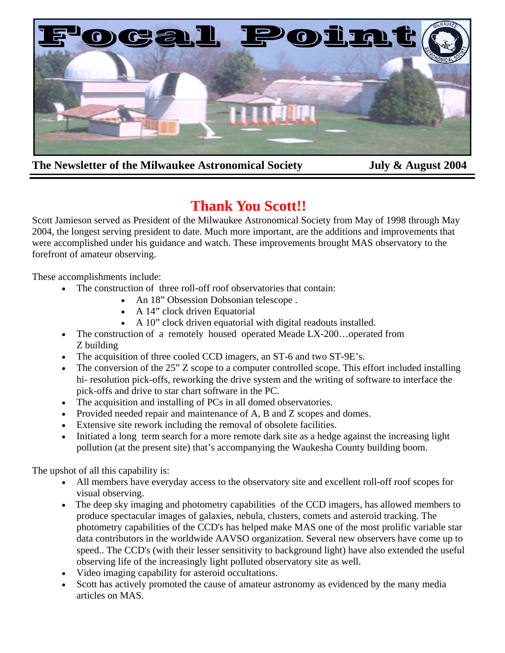

**The Newsletter of the Milwaukee Astronomical Society** *July & August 2004* 

# **Thank You Scott!!**

Scott Jamieson served as President of the Milwaukee Astronomical Society from May of 1998 through May 2004, the longest serving president to date. Much more important, are the additions and improvements that were accomplished under his guidance and watch. These improvements brought MAS observatory to the forefront of amateur observing.

These accomplishments include:

- The construction of three roll-off roof observatories that contain:
	- An 18" Obsession Dobsonian telescope.
	- A 14" clock driven Equatorial
	- A 10" clock driven equatorial with digital readouts installed.
- The construction of a remotely housed operated Meade LX-200...operated from Z building
- The acquisition of three cooled CCD imagers, an ST-6 and two ST-9E's.
- The conversion of the 25" Z scope to a computer controlled scope. This effort included installing hi- resolution pick-offs, reworking the drive system and the writing of software to interface the pick-offs and drive to star chart software in the PC.
- The acquisition and installing of PCs in all domed observatories.
- Provided needed repair and maintenance of A, B and Z scopes and domes.
- Extensive site rework including the removal of obsolete facilities.
- Initiated a long term search for a more remote dark site as a hedge against the increasing light pollution (at the present site) that's accompanying the Waukesha County building boom.

The upshot of all this capability is:

- All members have everyday access to the observatory site and excellent roll-off roof scopes for visual observing.
- The deep sky imaging and photometry capabilities of the CCD imagers, has allowed members to produce spectacular images of galaxies, nebula, clusters, comets and asteroid tracking. The photometry capabilities of the CCD's has helped make MAS one of the most prolific variable star data contributors in the worldwide AAVSO organization. Several new observers have come up to speed.. The CCD's (with their lesser sensitivity to background light) have also extended the useful observing life of the increasingly light polluted observatory site as well.
- Video imaging capability for asteroid occultations.
- Scott has actively promoted the cause of amateur astronomy as evidenced by the many media articles on MAS.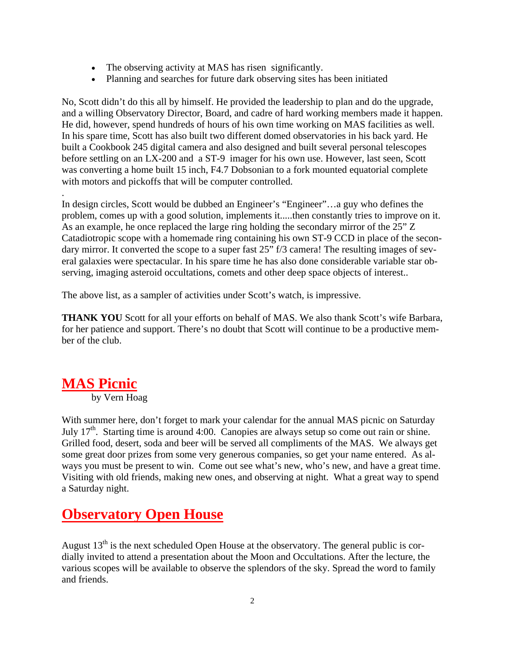- The observing activity at MAS has risen significantly.
- Planning and searches for future dark observing sites has been initiated

No, Scott didn't do this all by himself. He provided the leadership to plan and do the upgrade, and a willing Observatory Director, Board, and cadre of hard working members made it happen. He did, however, spend hundreds of hours of his own time working on MAS facilities as well. In his spare time, Scott has also built two different domed observatories in his back yard. He built a Cookbook 245 digital camera and also designed and built several personal telescopes before settling on an LX-200 and a ST-9 imager for his own use. However, last seen, Scott was converting a home built 15 inch, F4.7 Dobsonian to a fork mounted equatorial complete with motors and pickoffs that will be computer controlled.

In design circles, Scott would be dubbed an Engineer's "Engineer"…a guy who defines the problem, comes up with a good solution, implements it.....then constantly tries to improve on it. As an example, he once replaced the large ring holding the secondary mirror of the 25" Z Catadiotropic scope with a homemade ring containing his own ST-9 CCD in place of the secondary mirror. It converted the scope to a super fast 25" f/3 camera! The resulting images of several galaxies were spectacular. In his spare time he has also done considerable variable star observing, imaging asteroid occultations, comets and other deep space objects of interest..

The above list, as a sampler of activities under Scott's watch, is impressive.

**THANK YOU** Scott for all your efforts on behalf of MAS. We also thank Scott's wife Barbara, for her patience and support. There's no doubt that Scott will continue to be a productive member of the club.

### **MAS Picnic**

.

by Vern Hoag

With summer here, don't forget to mark your calendar for the annual MAS picnic on Saturday July  $17<sup>th</sup>$ . Starting time is around 4:00. Canopies are always setup so come out rain or shine. Grilled food, desert, soda and beer will be served all compliments of the MAS. We always get some great door prizes from some very generous companies, so get your name entered. As always you must be present to win. Come out see what's new, who's new, and have a great time. Visiting with old friends, making new ones, and observing at night. What a great way to spend a Saturday night.

## **Observatory Open House**

August  $13<sup>th</sup>$  is the next scheduled Open House at the observatory. The general public is cordially invited to attend a presentation about the Moon and Occultations. After the lecture, the various scopes will be available to observe the splendors of the sky. Spread the word to family and friends.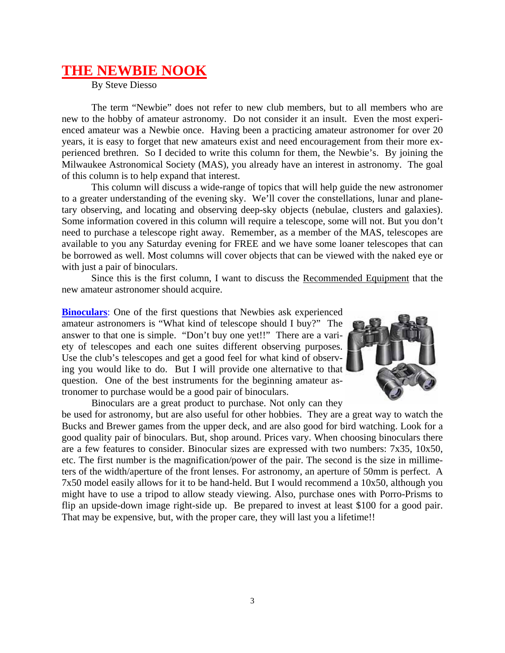### **THE NEWBIE NOOK**

By Steve Diesso

 The term "Newbie" does not refer to new club members, but to all members who are new to the hobby of amateur astronomy. Do not consider it an insult. Even the most experienced amateur was a Newbie once. Having been a practicing amateur astronomer for over 20 years, it is easy to forget that new amateurs exist and need encouragement from their more experienced brethren. So I decided to write this column for them, the Newbie's. By joining the Milwaukee Astronomical Society (MAS), you already have an interest in astronomy. The goal of this column is to help expand that interest.

 This column will discuss a wide-range of topics that will help guide the new astronomer to a greater understanding of the evening sky. We'll cover the constellations, lunar and planetary observing, and locating and observing deep-sky objects (nebulae, clusters and galaxies). Some information covered in this column will require a telescope, some will not. But you don't need to purchase a telescope right away. Remember, as a member of the MAS, telescopes are available to you any Saturday evening for FREE and we have some loaner telescopes that can be borrowed as well. Most columns will cover objects that can be viewed with the naked eye or with just a pair of binoculars.

 Since this is the first column, I want to discuss the Recommended Equipment that the new amateur astronomer should acquire.

**Binoculars**: One of the first questions that Newbies ask experienced amateur astronomers is "What kind of telescope should I buy?" The answer to that one is simple. "Don't buy one yet!!" There are a variety of telescopes and each one suites different observing purposes. Use the club's telescopes and get a good feel for what kind of observing you would like to do. But I will provide one alternative to that question. One of the best instruments for the beginning amateur astronomer to purchase would be a good pair of binoculars.



Binoculars are a great product to purchase. Not only can they

be used for astronomy, but are also useful for other hobbies. They are a great way to watch the Bucks and Brewer games from the upper deck, and are also good for bird watching. Look for a good quality pair of binoculars. But, shop around. Prices vary. When choosing binoculars there are a few features to consider. Binocular sizes are expressed with two numbers: 7x35, 10x50, etc. The first number is the magnification/power of the pair. The second is the size in millimeters of the width/aperture of the front lenses. For astronomy, an aperture of 50mm is perfect. A 7x50 model easily allows for it to be hand-held. But I would recommend a 10x50, although you might have to use a tripod to allow steady viewing. Also, purchase ones with Porro-Prisms to flip an upside-down image right-side up. Be prepared to invest at least \$100 for a good pair. That may be expensive, but, with the proper care, they will last you a lifetime!!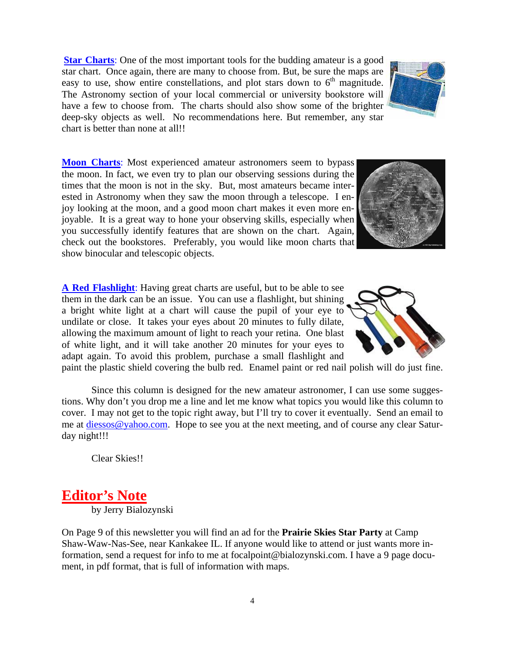**Star Charts**: One of the most important tools for the budding amateur is a good star chart. Once again, there are many to choose from. But, be sure the maps are easy to use, show entire constellations, and plot stars down to  $6<sup>th</sup>$  magnitude. The Astronomy section of your local commercial or university bookstore will have a few to choose from. The charts should also show some of the brighter deep-sky objects as well. No recommendations here. But remember, any star chart is better than none at all!!

**Moon Charts**: Most experienced amateur astronomers seem to bypass the moon. In fact, we even try to plan our observing sessions during the times that the moon is not in the sky. But, most amateurs became interested in Astronomy when they saw the moon through a telescope. I enjoy looking at the moon, and a good moon chart makes it even more enjoyable. It is a great way to hone your observing skills, especially when you successfully identify features that are shown on the chart. Again, check out the bookstores. Preferably, you would like moon charts that show binocular and telescopic objects.

**A Red Flashlight**: Having great charts are useful, but to be able to see them in the dark can be an issue. You can use a flashlight, but shining a bright white light at a chart will cause the pupil of your eye to undilate or close. It takes your eyes about 20 minutes to fully dilate, allowing the maximum amount of light to reach your retina. One blast of white light, and it will take another 20 minutes for your eyes to adapt again. To avoid this problem, purchase a small flashlight and

paint the plastic shield covering the bulb red. Enamel paint or red nail polish will do just fine.

 Since this column is designed for the new amateur astronomer, I can use some suggestions. Why don't you drop me a line and let me know what topics you would like this column to cover. I may not get to the topic right away, but I'll try to cover it eventually. Send an email to me at diessos@yahoo.com. Hope to see you at the next meeting, and of course any clear Saturday night!!!

Clear Skies!!

# **Editor's Note**

by Jerry Bialozynski

On Page 9 of this newsletter you will find an ad for the **Prairie Skies Star Party** at Camp Shaw-Waw-Nas-See, near Kankakee IL. If anyone would like to attend or just wants more information, send a request for info to me at focalpoint@bialozynski.com. I have a 9 page document, in pdf format, that is full of information with maps.





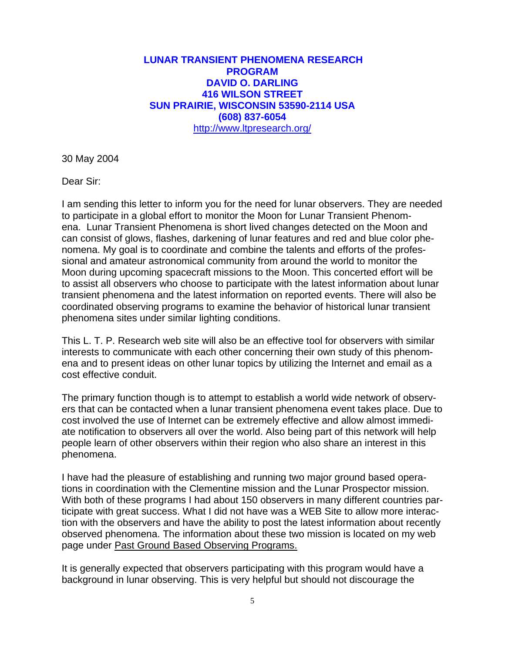#### comer to lunar observing. I have established a manual for frequently asked ques-**DAVID O. DARLING 416 WILSON STREET SUN PRAIRIE, WISCONSIN 53590-2114 USA** many books on lunar observing that have **(608) 837-6054** http://www.ltpresearch.org/ **LUNAR TRANSIENT PHENOMENA RESEARCH PROGRAM**

 $20MeV$ 30 May 2004

Dear Sir:

I am sending this letter to inform you for the need for lunar observers. They are needed to participate in a global effort to monitor the Moon for Lunar Transient Phenomena. Lunar Transient Phenomena is short lived changes detected on the Moon and can consist of glows, flashes, darkening of lunar features and red and blue color phenomena. My goal is to coordinate and combine the talents and efforts of the professional and amateur astronomical community from around the world to monitor the Moon during upcoming spacecraft missions to the Moon. This concerted effort will be to assist all observers who choose to participate with the latest information about lunar transient phenomena and the latest information on reported events. There will also be coordinated observing programs to examine the behavior of historical lunar transient phenomena sites under similar lighting conditions.

This L. T. P. Research web site will also be an effective tool for observers with similar interests to communicate with each other concerning their own study of this phenomena and to present ideas on other lunar topics by utilizing the Internet and email as a cost effective conduit.

The primary function though is to attempt to establish a world wide network of observers that can be contacted when a lunar transient phenomena event takes place. Due to cost involved the use of Internet can be extremely effective and allow almost immediate notification to observers all over the world. Also being part of this network will help people learn of other observers within their region who also share an interest in this phenomena.

I have had the pleasure of establishing and running two major ground based operations in coordination with the Clementine mission and the Lunar Prospector mission. With both of these programs I had about 150 observers in many different countries participate with great success. What I did not have was a WEB Site to allow more interaction with the observers and have the ability to post the latest information about recently observed phenomena. The information about these two mission is located on my web page under Past Ground Based Observing Programs.

It is generally expected that observers participating with this program would have a background in lunar observing. This is very helpful but should not discourage the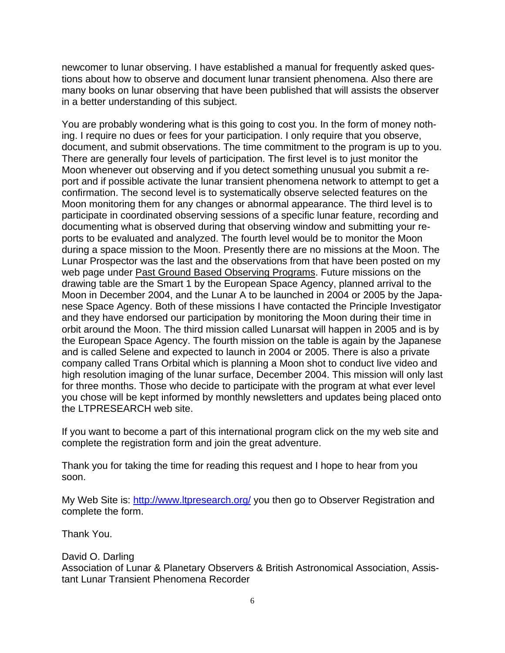newcomer to lunar observing. I have established a manual for frequently asked questions about how to observe and document lunar transient phenomena. Also there are many books on lunar observing that have been published that will assists the observer in a better understanding of this subject.

You are probably wondering what is this going to cost you. In the form of money nothing. I require no dues or fees for your participation. I only require that you observe, document, and submit observations. The time commitment to the program is up to you. There are generally four levels of participation. The first level is to just monitor the Moon whenever out observing and if you detect something unusual you submit a report and if possible activate the lunar transient phenomena network to attempt to get a confirmation. The second level is to systematically observe selected features on the Moon monitoring them for any changes or abnormal appearance. The third level is to participate in coordinated observing sessions of a specific lunar feature, recording and documenting what is observed during that observing window and submitting your reports to be evaluated and analyzed. The fourth level would be to monitor the Moon during a space mission to the Moon. Presently there are no missions at the Moon. The Lunar Prospector was the last and the observations from that have been posted on my web page under Past Ground Based Observing Programs. Future missions on the drawing table are the Smart 1 by the European Space Agency, planned arrival to the Moon in December 2004, and the Lunar A to be launched in 2004 or 2005 by the Japanese Space Agency. Both of these missions I have contacted the Principle Investigator and they have endorsed our participation by monitoring the Moon during their time in orbit around the Moon. The third mission called Lunarsat will happen in 2005 and is by the European Space Agency. The fourth mission on the table is again by the Japanese and is called Selene and expected to launch in 2004 or 2005. There is also a private company called Trans Orbital which is planning a Moon shot to conduct live video and high resolution imaging of the lunar surface, December 2004. This mission will only last for three months. Those who decide to participate with the program at what ever level you chose will be kept informed by monthly newsletters and updates being placed onto the LTPRESEARCH web site.

If you want to become a part of this international program click on the my web site and complete the registration form and join the great adventure.

Thank you for taking the time for reading this request and I hope to hear from you soon.

My Web Site is: http://www.ltpresearch.org/ you then go to Observer Registration and complete the form.

Thank You.

David O. Darling Association of Lunar & Planetary Observers & British Astronomical Association, Assistant Lunar Transient Phenomena Recorder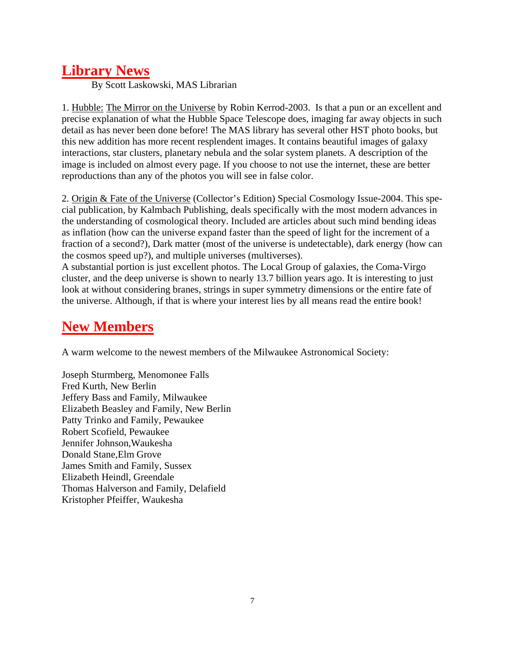## **Library News**

By Scott Laskowski, MAS Librarian

1. Hubble: The Mirror on the Universe by Robin Kerrod-2003. Is that a pun or an excellent and precise explanation of what the Hubble Space Telescope does, imaging far away objects in such detail as has never been done before! The MAS library has several other HST photo books, but this new addition has more recent resplendent images. It contains beautiful images of galaxy interactions, star clusters, planetary nebula and the solar system planets. A description of the image is included on almost every page. If you choose to not use the internet, these are better reproductions than any of the photos you will see in false color.

2. Origin & Fate of the Universe (Collector's Edition) Special Cosmology Issue-2004. This special publication, by Kalmbach Publishing, deals specifically with the most modern advances in the understanding of cosmological theory. Included are articles about such mind bending ideas as inflation (how can the universe expand faster than the speed of light for the increment of a fraction of a second?), Dark matter (most of the universe is undetectable), dark energy (how can the cosmos speed up?), and multiple universes (multiverses).

A substantial portion is just excellent photos. The Local Group of galaxies, the Coma-Virgo cluster, and the deep universe is shown to nearly 13.7 billion years ago. It is interesting to just look at without considering branes, strings in super symmetry dimensions or the entire fate of the universe. Although, if that is where your interest lies by all means read the entire book!

# **New Members**

A warm welcome to the newest members of the Milwaukee Astronomical Society:

Joseph Sturmberg, Menomonee Falls Fred Kurth, New Berlin Jeffery Bass and Family, Milwaukee Elizabeth Beasley and Family, New Berlin Patty Trinko and Family, Pewaukee Robert Scofield, Pewaukee Jennifer Johnson,Waukesha Donald Stane,Elm Grove James Smith and Family, Sussex Elizabeth Heindl, Greendale Thomas Halverson and Family, Delafield Kristopher Pfeiffer, Waukesha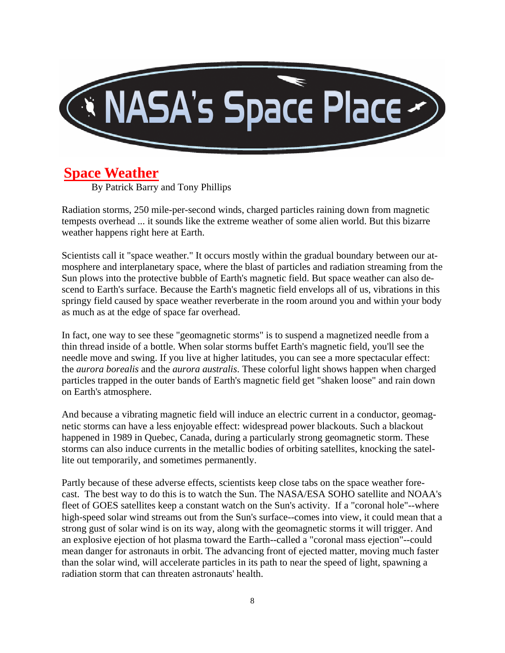

### **Space Weather**

By Patrick Barry and Tony Phillips

Radiation storms, 250 mile-per-second winds, charged particles raining down from magnetic tempests overhead ... it sounds like the extreme weather of some alien world. But this bizarre weather happens right here at Earth.

Scientists call it "space weather." It occurs mostly within the gradual boundary between our atmosphere and interplanetary space, where the blast of particles and radiation streaming from the Sun plows into the protective bubble of Earth's magnetic field. But space weather can also descend to Earth's surface. Because the Earth's magnetic field envelops all of us, vibrations in this springy field caused by space weather reverberate in the room around you and within your body as much as at the edge of space far overhead.

In fact, one way to see these "geomagnetic storms" is to suspend a magnetized needle from a thin thread inside of a bottle. When solar storms buffet Earth's magnetic field, you'll see the needle move and swing. If you live at higher latitudes, you can see a more spectacular effect: the *aurora borealis* and the *aurora australis*. These colorful light shows happen when charged particles trapped in the outer bands of Earth's magnetic field get "shaken loose" and rain down on Earth's atmosphere.

And because a vibrating magnetic field will induce an electric current in a conductor, geomagnetic storms can have a less enjoyable effect: widespread power blackouts. Such a blackout happened in 1989 in Quebec, Canada, during a particularly strong geomagnetic storm. These storms can also induce currents in the metallic bodies of orbiting satellites, knocking the satellite out temporarily, and sometimes permanently.

Partly because of these adverse effects, scientists keep close tabs on the space weather forecast. The best way to do this is to watch the Sun. The NASA/ESA SOHO satellite and NOAA's fleet of GOES satellites keep a constant watch on the Sun's activity. If a "coronal hole"--where high-speed solar wind streams out from the Sun's surface--comes into view, it could mean that a strong gust of solar wind is on its way, along with the geomagnetic storms it will trigger. And an explosive ejection of hot plasma toward the Earth--called a "coronal mass ejection"--could mean danger for astronauts in orbit. The advancing front of ejected matter, moving much faster than the solar wind, will accelerate particles in its path to near the speed of light, spawning a radiation storm that can threaten astronauts' health.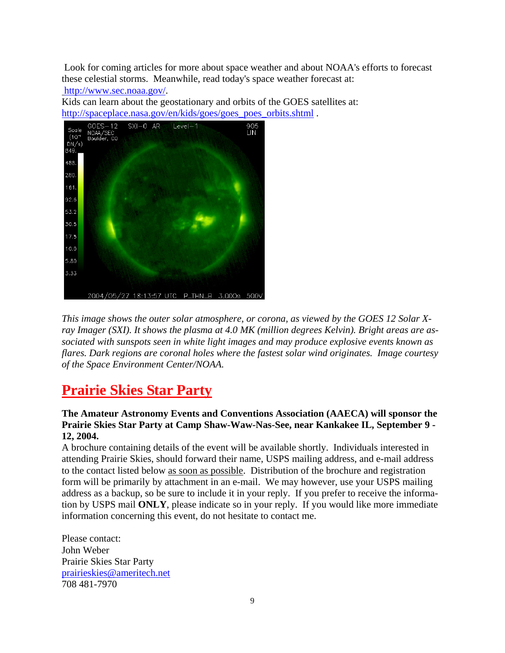Look for coming articles for more about space weather and about NOAA's efforts to forecast these celestial storms. Meanwhile, read today's space weather forecast at: http://www.sec.noaa.gov/.

Kids can learn about the geostationary and orbits of the GOES satellites at: http://spaceplace.nasa.gov/en/kids/goes/goes\_poes\_orbits.shtml.



*This image shows the outer solar atmosphere, or corona, as viewed by the GOES 12 Solar Xray Imager (SXI). It shows the plasma at 4.0 MK (million degrees Kelvin). Bright areas are associated with sunspots seen in white light images and may produce explosive events known as flares. Dark regions are coronal holes where the fastest solar wind originates. Image courtesy of the Space Environment Center/NOAA.* 

## **Prairie Skies Star Party**

#### **The Amateur Astronomy Events and Conventions Association (AAECA) will sponsor the Prairie Skies Star Party at Camp Shaw-Waw-Nas-See, near Kankakee IL, September 9 - 12, 2004.**

A brochure containing details of the event will be available shortly. Individuals interested in attending Prairie Skies, should forward their name, USPS mailing address, and e-mail address to the contact listed below as soon as possible. Distribution of the brochure and registration form will be primarily by attachment in an e-mail. We may however, use your USPS mailing address as a backup, so be sure to include it in your reply. If you prefer to receive the information by USPS mail **ONLY**, please indicate so in your reply. If you would like more immediate information concerning this event, do not hesitate to contact me.

Please contact: John Weber Prairie Skies Star Party prairieskies@ameritech.net 708 481-7970